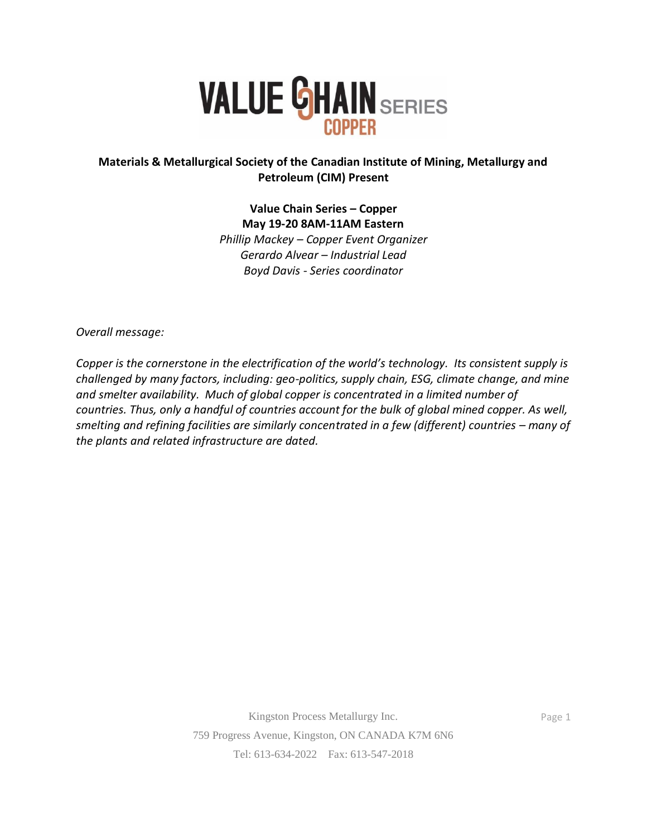

## **Materials & Metallurgical Society of the Canadian Institute of Mining, Metallurgy and Petroleum (CIM) Present**

**Value Chain Series – Copper May 19-20 8AM-11AM Eastern** *Phillip Mackey – Copper Event Organizer Gerardo Alvear – Industrial Lead Boyd Davis - Series coordinator*

*Overall message:* 

*Copper is the cornerstone in the electrification of the world's technology. Its consistent supply is challenged by many factors, including: geo-politics, supply chain, ESG, climate change, and mine and smelter availability. Much of global copper is concentrated in a limited number of countries. Thus, only a handful of countries account for the bulk of global mined copper. As well, smelting and refining facilities are similarly concentrated in a few (different) countries – many of the plants and related infrastructure are dated.* 

Page 1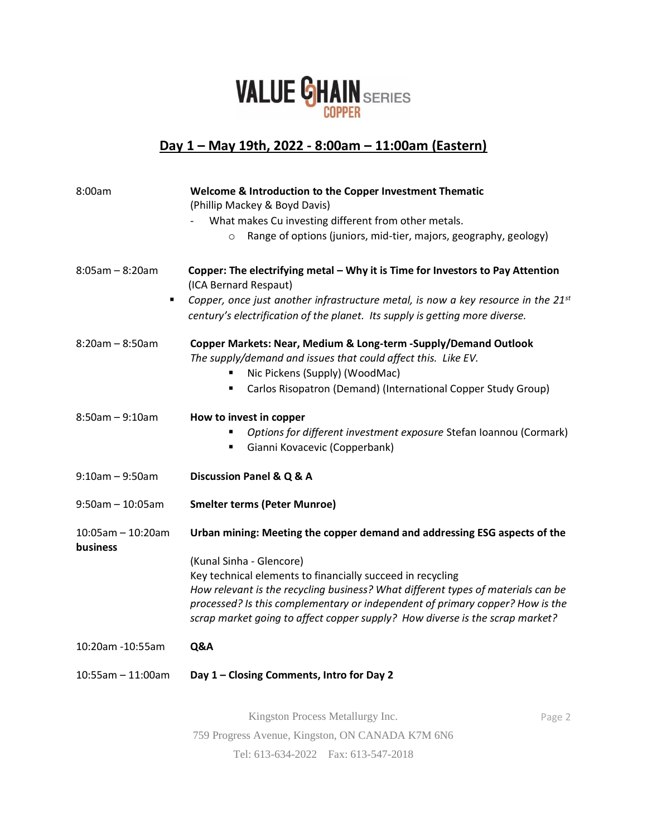

## **Day 1 – May 19th, 2022 - 8:00am – 11:00am (Eastern)**

| 8:00am                           | Welcome & Introduction to the Copper Investment Thematic<br>(Phillip Mackey & Boyd Davis)                                                                              |        |
|----------------------------------|------------------------------------------------------------------------------------------------------------------------------------------------------------------------|--------|
|                                  | What makes Cu investing different from other metals.                                                                                                                   |        |
|                                  | Range of options (juniors, mid-tier, majors, geography, geology)<br>$\circ$                                                                                            |        |
| $8:05am - 8:20am$<br>٠           | Copper: The electrifying metal - Why it is Time for Investors to Pay Attention<br>(ICA Bernard Respaut)                                                                |        |
|                                  | Copper, once just another infrastructure metal, is now a key resource in the $21^{st}$<br>century's electrification of the planet. Its supply is getting more diverse. |        |
| $8:20am - 8:50am$                | Copper Markets: Near, Medium & Long-term - Supply/Demand Outlook<br>The supply/demand and issues that could affect this. Like EV.                                      |        |
|                                  | Nic Pickens (Supply) (WoodMac)                                                                                                                                         |        |
|                                  | Carlos Risopatron (Demand) (International Copper Study Group)<br>п                                                                                                     |        |
| $8:50am - 9:10am$                | How to invest in copper                                                                                                                                                |        |
|                                  | Options for different investment exposure Stefan Ioannou (Cormark)                                                                                                     |        |
|                                  | Gianni Kovacevic (Copperbank)                                                                                                                                          |        |
| $9:10am - 9:50am$                | Discussion Panel & Q & A                                                                                                                                               |        |
| $9:50$ am - 10:05am              | <b>Smelter terms (Peter Munroe)</b>                                                                                                                                    |        |
| $10:05$ am - 10:20am<br>business | Urban mining: Meeting the copper demand and addressing ESG aspects of the                                                                                              |        |
|                                  | (Kunal Sinha - Glencore)                                                                                                                                               |        |
|                                  | Key technical elements to financially succeed in recycling                                                                                                             |        |
|                                  | How relevant is the recycling business? What different types of materials can be                                                                                       |        |
|                                  | processed? Is this complementary or independent of primary copper? How is the<br>scrap market going to affect copper supply? How diverse is the scrap market?          |        |
| 10:20am -10:55am                 | Q&A                                                                                                                                                                    |        |
| $10:55am - 11:00am$              | Day 1 - Closing Comments, Intro for Day 2                                                                                                                              |        |
|                                  | Kingston Process Metallurgy Inc.                                                                                                                                       | Page 2 |
|                                  | 759 Progress Avenue, Kingston, ON CANADA K7M 6N6                                                                                                                       |        |
|                                  |                                                                                                                                                                        |        |

Tel: 613-634-2022 Fax: 613-547-2018